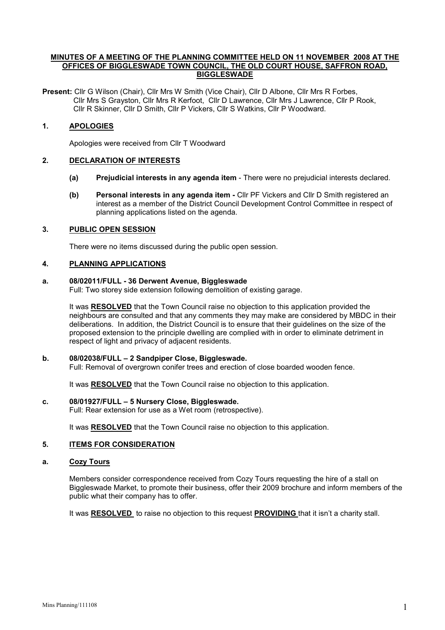## MINUTES OF A MEETING OF THE PLANNING COMMITTEE HELD ON 11 NOVEMBER 2008 AT THE OFFICES OF BIGGLESWADE TOWN COUNCIL, THE OLD COURT HOUSE, SAFFRON ROAD, BIGGLESWADE

Present: Cllr G Wilson (Chair), Cllr Mrs W Smith (Vice Chair), Cllr D Albone, Cllr Mrs R Forbes, Cllr Mrs S Grayston, Cllr Mrs R Kerfoot, Cllr D Lawrence, Cllr Mrs J Lawrence, Cllr P Rook, Cllr R Skinner, Cllr D Smith, Cllr P Vickers, Cllr S Watkins, Cllr P Woodward.

# 1. APOLOGIES

Apologies were received from Cllr T Woodward

# 2. DECLARATION OF INTERESTS

- (a) Prejudicial interests in any agenda item There were no prejudicial interests declared.
- (b) Personal interests in any agenda item Cllr PF Vickers and Cllr D Smith registered an interest as a member of the District Council Development Control Committee in respect of planning applications listed on the agenda.

## 3. PUBLIC OPEN SESSION

There were no items discussed during the public open session.

## 4. PLANNING APPLICATIONS

### a. 08/02011/FULL - 36 Derwent Avenue, Biggleswade

Full: Two storey side extension following demolition of existing garage.

It was RESOLVED that the Town Council raise no objection to this application provided the neighbours are consulted and that any comments they may make are considered by MBDC in their deliberations. In addition, the District Council is to ensure that their guidelines on the size of the proposed extension to the principle dwelling are complied with in order to eliminate detriment in respect of light and privacy of adjacent residents.

### b. 08/02038/FULL – 2 Sandpiper Close, Biggleswade.

Full: Removal of overgrown conifer trees and erection of close boarded wooden fence.

It was RESOLVED that the Town Council raise no objection to this application.

### c. 08/01927/FULL – 5 Nursery Close, Biggleswade.

Full: Rear extension for use as a Wet room (retrospective).

It was RESOLVED that the Town Council raise no objection to this application.

### 5. ITEMS FOR CONSIDERATION

## a. Cozy Tours

Members consider correspondence received from Cozy Tours requesting the hire of a stall on Biggleswade Market, to promote their business, offer their 2009 brochure and inform members of the public what their company has to offer.

It was RESOLVED to raise no objection to this request PROVIDING that it isn't a charity stall.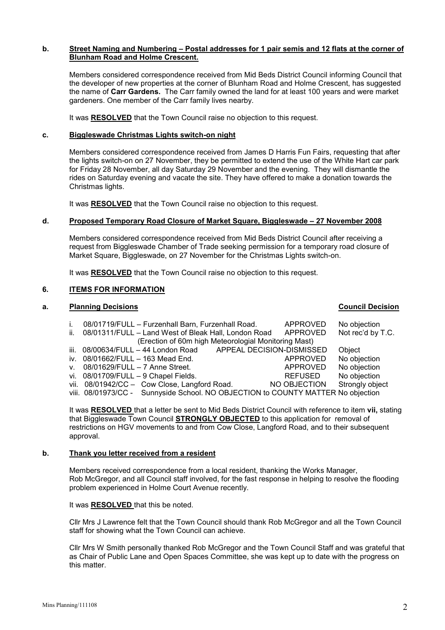### b. Street Naming and Numbering – Postal addresses for 1 pair semis and 12 flats at the corner of Blunham Road and Holme Crescent.

Members considered correspondence received from Mid Beds District Council informing Council that the developer of new properties at the corner of Blunham Road and Holme Crescent, has suggested the name of Carr Gardens. The Carr family owned the land for at least 100 years and were market gardeners. One member of the Carr family lives nearby.

It was RESOLVED that the Town Council raise no objection to this request.

# c. Biggleswade Christmas Lights switch-on night

Members considered correspondence received from James D Harris Fun Fairs, requesting that after the lights switch-on on 27 November, they be permitted to extend the use of the White Hart car park for Friday 28 November, all day Saturday 29 November and the evening. They will dismantle the rides on Saturday evening and vacate the site. They have offered to make a donation towards the Christmas lights.

It was RESOLVED that the Town Council raise no objection to this request.

### d. Proposed Temporary Road Closure of Market Square, Biggleswade – 27 November 2008

Members considered correspondence received from Mid Beds District Council after receiving a request from Biggleswade Chamber of Trade seeking permission for a temporary road closure of Market Square, Biggleswade, on 27 November for the Christmas Lights switch-on.

It was RESOLVED that the Town Council raise no objection to this request.

### 6. ITEMS FOR INFORMATION

## a. Planning Decisions Council Decision

## i. 08/01719/FULL – Furzenhall Barn, Furzenhall Road. APPROVED No objection<br>ii. 08/01311/FULL – Land West of Bleak Hall, London Road APPROVED Not rec'd by T.C. ii. 08/01311/FULL – Land West of Bleak Hall, London Road (Erection of 60m high Meteorologial Monitoring Mast) iii. 08/00634/FULL - 44 London Road APPEAL DECISION-DISMISSED Object iv. 08/01662/FULL – 163 Mead End. And the Separate Separate COVED No objection v. 08/01629/FULL – 7 Anne Street. APPROVED No objection vi. 08/01709/FULL – 9 Chapel Fields.<br>
vii. 08/01942/CC – Cow Close, Langford Road. NO OBJECTION Strongly object vii. 08/01942/CC - Cow Close, Langford Road. NO OBJECTION viii. 08/01973/CC - Sunnyside School. NO OBJECTION to COUNTY MATTER No objection

It was RESOLVED that a letter be sent to Mid Beds District Council with reference to item vii, stating that Biggleswade Town Council STRONGLY OBJECTED to this application for removal of restrictions on HGV movements to and from Cow Close, Langford Road, and to their subsequent approval.

### b. Thank you letter received from a resident

 Members received correspondence from a local resident, thanking the Works Manager, Rob McGregor, and all Council staff involved, for the fast response in helping to resolve the flooding problem experienced in Holme Court Avenue recently.

It was RESOLVED that this be noted.

Cllr Mrs J Lawrence felt that the Town Council should thank Rob McGregor and all the Town Council staff for showing what the Town Council can achieve.

Cllr Mrs W Smith personally thanked Rob McGregor and the Town Council Staff and was grateful that as Chair of Public Lane and Open Spaces Committee, she was kept up to date with the progress on this matter.